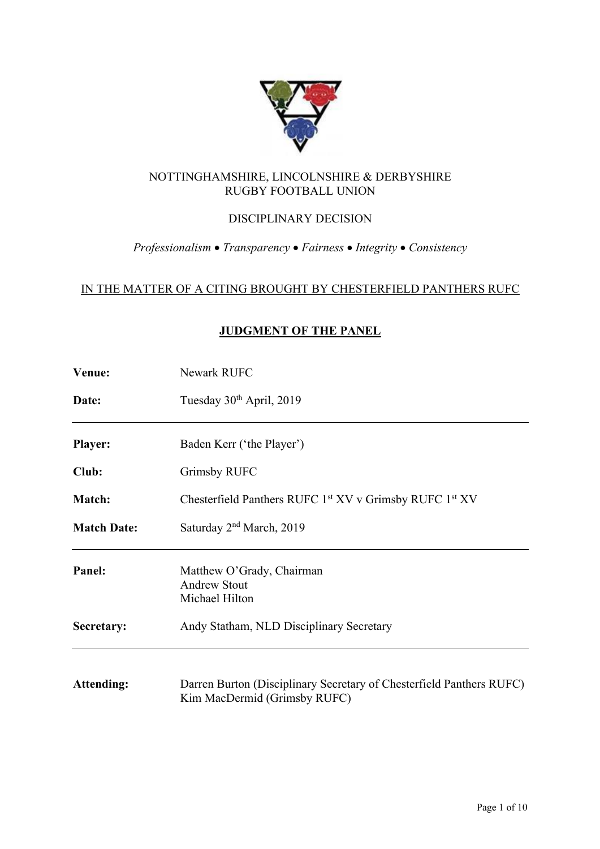

## NOTTINGHAMSHIRE, LINCOLNSHIRE & DERBYSHIRE RUGBY FOOTBALL UNION

# DISCIPLINARY DECISION

## *Professionalism* • *Transparency* • *Fairness* • *Integrity* • *Consistency*

## IN THE MATTER OF A CITING BROUGHT BY CHESTERFIELD PANTHERS RUFC

## **JUDGMENT OF THE PANEL**

| Venue:             | Newark RUFC                                                                                          |
|--------------------|------------------------------------------------------------------------------------------------------|
| Date:              | Tuesday 30 <sup>th</sup> April, 2019                                                                 |
| <b>Player:</b>     | Baden Kerr ('the Player')                                                                            |
| Club:              | <b>Grimsby RUFC</b>                                                                                  |
| Match:             | Chesterfield Panthers RUFC 1st XV v Grimsby RUFC 1st XV                                              |
| <b>Match Date:</b> | Saturday 2 <sup>nd</sup> March, 2019                                                                 |
| Panel:             | Matthew O'Grady, Chairman<br><b>Andrew Stout</b><br>Michael Hilton                                   |
| Secretary:         | Andy Statham, NLD Disciplinary Secretary                                                             |
| <b>Attending:</b>  | Darren Burton (Disciplinary Secretary of Chesterfield Panthers RUFC)<br>Kim MacDermid (Grimsby RUFC) |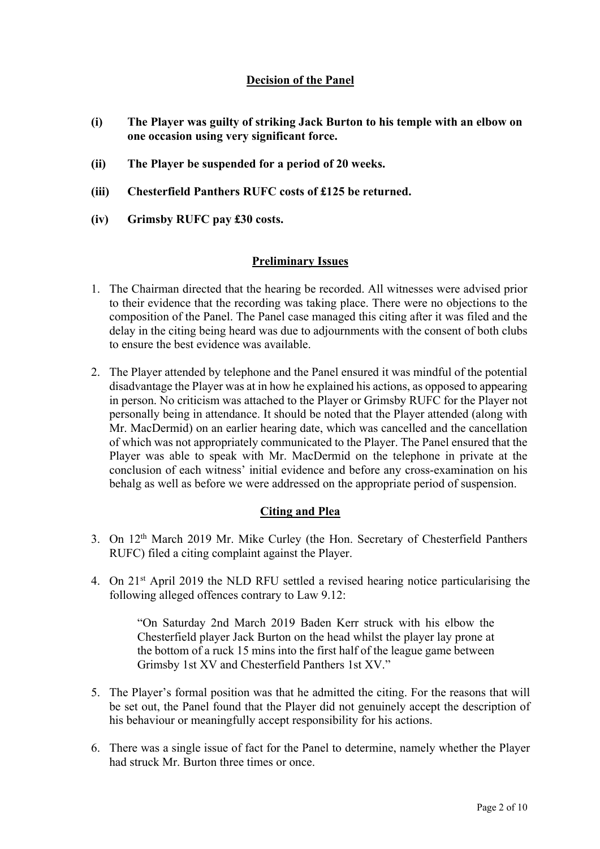## **Decision of the Panel**

- **(i) The Player was guilty of striking Jack Burton to his temple with an elbow on one occasion using very significant force.**
- **(ii) The Player be suspended for a period of 20 weeks.**
- **(iii) Chesterfield Panthers RUFC costs of £125 be returned.**
- **(iv) Grimsby RUFC pay £30 costs.**

## **Preliminary Issues**

- 1. The Chairman directed that the hearing be recorded. All witnesses were advised prior to their evidence that the recording was taking place. There were no objections to the composition of the Panel. The Panel case managed this citing after it was filed and the delay in the citing being heard was due to adjournments with the consent of both clubs to ensure the best evidence was available.
- 2. The Player attended by telephone and the Panel ensured it was mindful of the potential disadvantage the Player was at in how he explained his actions, as opposed to appearing in person. No criticism was attached to the Player or Grimsby RUFC for the Player not personally being in attendance. It should be noted that the Player attended (along with Mr. MacDermid) on an earlier hearing date, which was cancelled and the cancellation of which was not appropriately communicated to the Player. The Panel ensured that the Player was able to speak with Mr. MacDermid on the telephone in private at the conclusion of each witness' initial evidence and before any cross-examination on his behalg as well as before we were addressed on the appropriate period of suspension.

#### **Citing and Plea**

- 3. On 12th March 2019 Mr. Mike Curley (the Hon. Secretary of Chesterfield Panthers RUFC) filed a citing complaint against the Player.
- 4. On 21st April 2019 the NLD RFU settled a revised hearing notice particularising the following alleged offences contrary to Law 9.12:

"On Saturday 2nd March 2019 Baden Kerr struck with his elbow the Chesterfield player Jack Burton on the head whilst the player lay prone at the bottom of a ruck 15 mins into the first half of the league game between Grimsby 1st XV and Chesterfield Panthers 1st XV."

- 5. The Player's formal position was that he admitted the citing. For the reasons that will be set out, the Panel found that the Player did not genuinely accept the description of his behaviour or meaningfully accept responsibility for his actions.
- 6. There was a single issue of fact for the Panel to determine, namely whether the Player had struck Mr. Burton three times or once.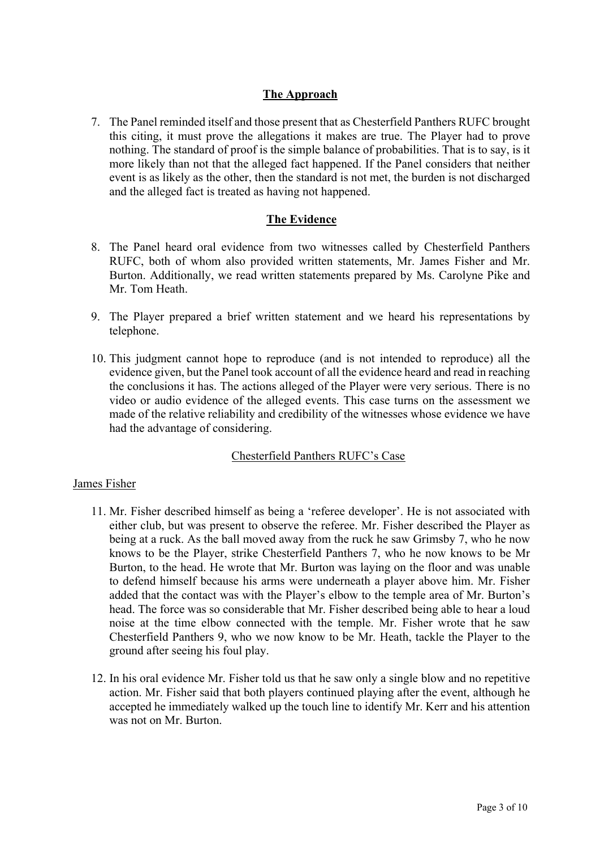## **The Approach**

7. The Panel reminded itself and those present that as Chesterfield Panthers RUFC brought this citing, it must prove the allegations it makes are true. The Player had to prove nothing. The standard of proof is the simple balance of probabilities. That is to say, is it more likely than not that the alleged fact happened. If the Panel considers that neither event is as likely as the other, then the standard is not met, the burden is not discharged and the alleged fact is treated as having not happened.

## **The Evidence**

- 8. The Panel heard oral evidence from two witnesses called by Chesterfield Panthers RUFC, both of whom also provided written statements, Mr. James Fisher and Mr. Burton. Additionally, we read written statements prepared by Ms. Carolyne Pike and Mr. Tom Heath.
- 9. The Player prepared a brief written statement and we heard his representations by telephone.
- 10. This judgment cannot hope to reproduce (and is not intended to reproduce) all the evidence given, but the Panel took account of all the evidence heard and read in reaching the conclusions it has. The actions alleged of the Player were very serious. There is no video or audio evidence of the alleged events. This case turns on the assessment we made of the relative reliability and credibility of the witnesses whose evidence we have had the advantage of considering.

## Chesterfield Panthers RUFC's Case

#### James Fisher

- 11. Mr. Fisher described himself as being a 'referee developer'. He is not associated with either club, but was present to observe the referee. Mr. Fisher described the Player as being at a ruck. As the ball moved away from the ruck he saw Grimsby 7, who he now knows to be the Player, strike Chesterfield Panthers 7, who he now knows to be Mr Burton, to the head. He wrote that Mr. Burton was laying on the floor and was unable to defend himself because his arms were underneath a player above him. Mr. Fisher added that the contact was with the Player's elbow to the temple area of Mr. Burton's head. The force was so considerable that Mr. Fisher described being able to hear a loud noise at the time elbow connected with the temple. Mr. Fisher wrote that he saw Chesterfield Panthers 9, who we now know to be Mr. Heath, tackle the Player to the ground after seeing his foul play.
- 12. In his oral evidence Mr. Fisher told us that he saw only a single blow and no repetitive action. Mr. Fisher said that both players continued playing after the event, although he accepted he immediately walked up the touch line to identify Mr. Kerr and his attention was not on Mr. Burton.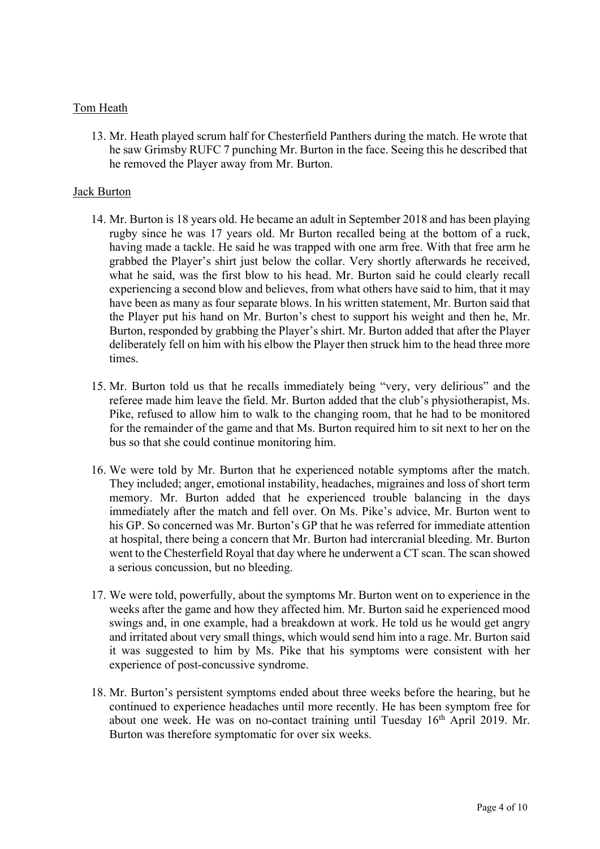#### Tom Heath

13. Mr. Heath played scrum half for Chesterfield Panthers during the match. He wrote that he saw Grimsby RUFC 7 punching Mr. Burton in the face. Seeing this he described that he removed the Player away from Mr. Burton.

## Jack Burton

- 14. Mr. Burton is 18 years old. He became an adult in September 2018 and has been playing rugby since he was 17 years old. Mr Burton recalled being at the bottom of a ruck, having made a tackle. He said he was trapped with one arm free. With that free arm he grabbed the Player's shirt just below the collar. Very shortly afterwards he received, what he said, was the first blow to his head. Mr. Burton said he could clearly recall experiencing a second blow and believes, from what others have said to him, that it may have been as many as four separate blows. In his written statement, Mr. Burton said that the Player put his hand on Mr. Burton's chest to support his weight and then he, Mr. Burton, responded by grabbing the Player's shirt. Mr. Burton added that after the Player deliberately fell on him with his elbow the Player then struck him to the head three more times.
- 15. Mr. Burton told us that he recalls immediately being "very, very delirious" and the referee made him leave the field. Mr. Burton added that the club's physiotherapist, Ms. Pike, refused to allow him to walk to the changing room, that he had to be monitored for the remainder of the game and that Ms. Burton required him to sit next to her on the bus so that she could continue monitoring him.
- 16. We were told by Mr. Burton that he experienced notable symptoms after the match. They included; anger, emotional instability, headaches, migraines and loss of short term memory. Mr. Burton added that he experienced trouble balancing in the days immediately after the match and fell over. On Ms. Pike's advice, Mr. Burton went to his GP. So concerned was Mr. Burton's GP that he was referred for immediate attention at hospital, there being a concern that Mr. Burton had intercranial bleeding. Mr. Burton went to the Chesterfield Royal that day where he underwent a CT scan. The scan showed a serious concussion, but no bleeding.
- 17. We were told, powerfully, about the symptoms Mr. Burton went on to experience in the weeks after the game and how they affected him. Mr. Burton said he experienced mood swings and, in one example, had a breakdown at work. He told us he would get angry and irritated about very small things, which would send him into a rage. Mr. Burton said it was suggested to him by Ms. Pike that his symptoms were consistent with her experience of post-concussive syndrome.
- 18. Mr. Burton's persistent symptoms ended about three weeks before the hearing, but he continued to experience headaches until more recently. He has been symptom free for about one week. He was on no-contact training until Tuesday 16<sup>th</sup> April 2019. Mr. Burton was therefore symptomatic for over six weeks.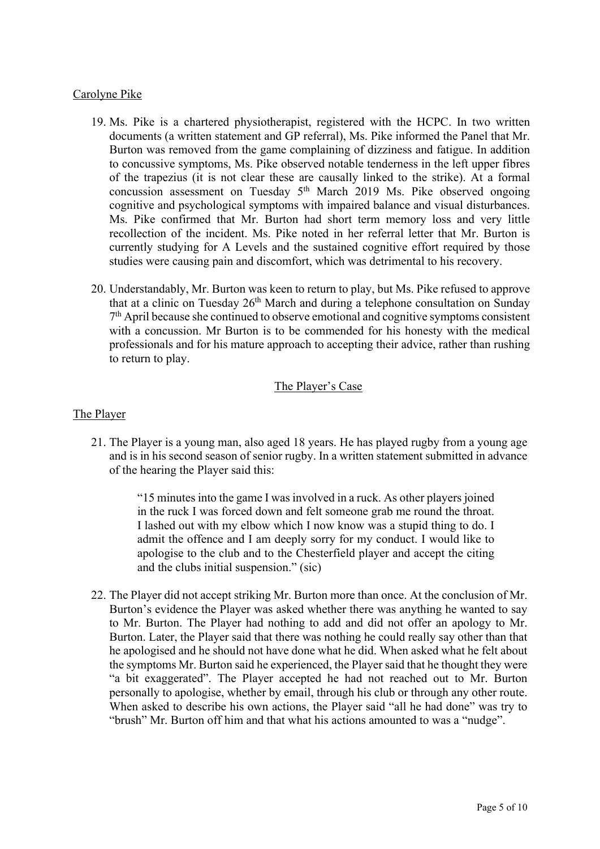## Carolyne Pike

- 19. Ms. Pike is a chartered physiotherapist, registered with the HCPC. In two written documents (a written statement and GP referral), Ms. Pike informed the Panel that Mr. Burton was removed from the game complaining of dizziness and fatigue. In addition to concussive symptoms, Ms. Pike observed notable tenderness in the left upper fibres of the trapezius (it is not clear these are causally linked to the strike). At a formal concussion assessment on Tuesday  $5<sup>th</sup>$  March 2019 Ms. Pike observed ongoing cognitive and psychological symptoms with impaired balance and visual disturbances. Ms. Pike confirmed that Mr. Burton had short term memory loss and very little recollection of the incident. Ms. Pike noted in her referral letter that Mr. Burton is currently studying for A Levels and the sustained cognitive effort required by those studies were causing pain and discomfort, which was detrimental to his recovery.
- 20. Understandably, Mr. Burton was keen to return to play, but Ms. Pike refused to approve that at a clinic on Tuesday  $26<sup>th</sup>$  March and during a telephone consultation on Sunday  $7<sup>th</sup>$  April because she continued to observe emotional and cognitive symptoms consistent with a concussion. Mr Burton is to be commended for his honesty with the medical professionals and for his mature approach to accepting their advice, rather than rushing to return to play.

## The Player's Case

#### The Player

21. The Player is a young man, also aged 18 years. He has played rugby from a young age and is in his second season of senior rugby. In a written statement submitted in advance of the hearing the Player said this:

> "15 minutes into the game I was involved in a ruck. As other players joined in the ruck I was forced down and felt someone grab me round the throat. I lashed out with my elbow which I now know was a stupid thing to do. I admit the offence and I am deeply sorry for my conduct. I would like to apologise to the club and to the Chesterfield player and accept the citing and the clubs initial suspension." (sic)

22. The Player did not accept striking Mr. Burton more than once. At the conclusion of Mr. Burton's evidence the Player was asked whether there was anything he wanted to say to Mr. Burton. The Player had nothing to add and did not offer an apology to Mr. Burton. Later, the Player said that there was nothing he could really say other than that he apologised and he should not have done what he did. When asked what he felt about the symptoms Mr. Burton said he experienced, the Player said that he thought they were "a bit exaggerated". The Player accepted he had not reached out to Mr. Burton personally to apologise, whether by email, through his club or through any other route. When asked to describe his own actions, the Player said "all he had done" was try to "brush" Mr. Burton off him and that what his actions amounted to was a "nudge".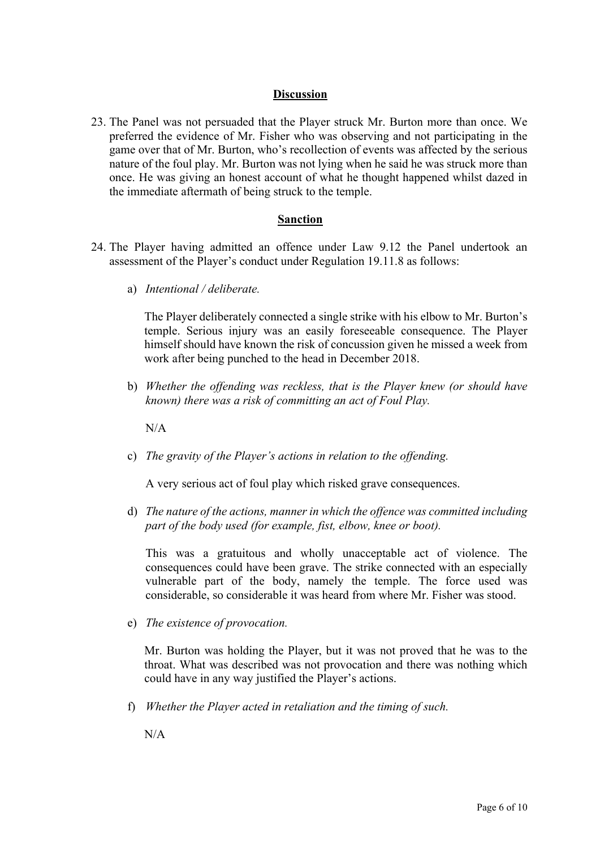## **Discussion**

23. The Panel was not persuaded that the Player struck Mr. Burton more than once. We preferred the evidence of Mr. Fisher who was observing and not participating in the game over that of Mr. Burton, who's recollection of events was affected by the serious nature of the foul play. Mr. Burton was not lying when he said he was struck more than once. He was giving an honest account of what he thought happened whilst dazed in the immediate aftermath of being struck to the temple.

## **Sanction**

- 24. The Player having admitted an offence under Law 9.12 the Panel undertook an assessment of the Player's conduct under Regulation 19.11.8 as follows:
	- a) *Intentional / deliberate.*

The Player deliberately connected a single strike with his elbow to Mr. Burton's temple. Serious injury was an easily foreseeable consequence. The Player himself should have known the risk of concussion given he missed a week from work after being punched to the head in December 2018.

b) *Whether the offending was reckless, that is the Player knew (or should have known) there was a risk of committing an act of Foul Play.*

 $N/A$ 

c) *The gravity of the Player's actions in relation to the offending.*

A very serious act of foul play which risked grave consequences.

d) *The nature of the actions, manner in which the offence was committed including part of the body used (for example, fist, elbow, knee or boot).*

This was a gratuitous and wholly unacceptable act of violence. The consequences could have been grave. The strike connected with an especially vulnerable part of the body, namely the temple. The force used was considerable, so considerable it was heard from where Mr. Fisher was stood.

e) *The existence of provocation.*

Mr. Burton was holding the Player, but it was not proved that he was to the throat. What was described was not provocation and there was nothing which could have in any way justified the Player's actions.

f) *Whether the Player acted in retaliation and the timing of such.*

 $N/A$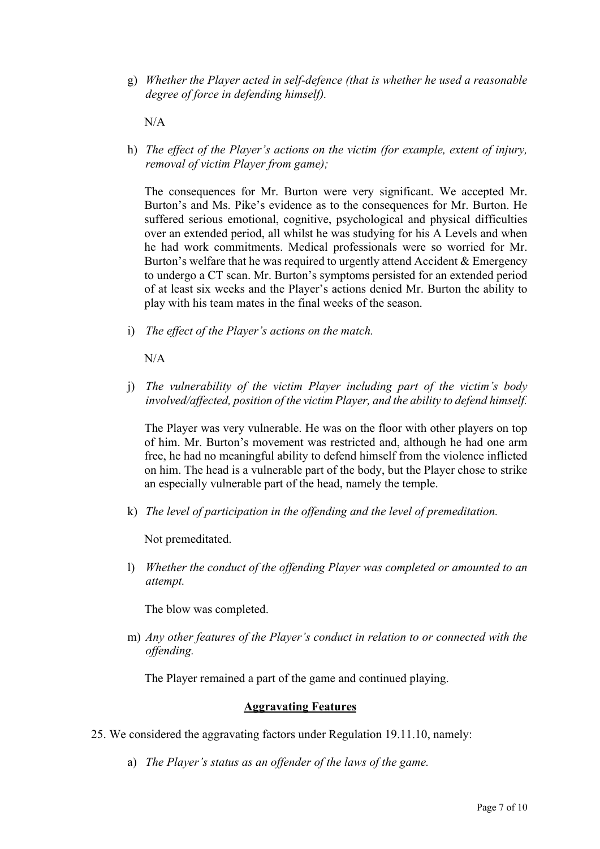g) *Whether the Player acted in self-defence (that is whether he used a reasonable degree of force in defending himself).*

N/A

h) *The effect of the Player's actions on the victim (for example, extent of injury, removal of victim Player from game);* 

The consequences for Mr. Burton were very significant. We accepted Mr. Burton's and Ms. Pike's evidence as to the consequences for Mr. Burton. He suffered serious emotional, cognitive, psychological and physical difficulties over an extended period, all whilst he was studying for his A Levels and when he had work commitments. Medical professionals were so worried for Mr. Burton's welfare that he was required to urgently attend Accident & Emergency to undergo a CT scan. Mr. Burton's symptoms persisted for an extended period of at least six weeks and the Player's actions denied Mr. Burton the ability to play with his team mates in the final weeks of the season.

i) *The effect of the Player's actions on the match.*

N/A

j) *The vulnerability of the victim Player including part of the victim's body involved/affected, position of the victim Player, and the ability to defend himself.*

The Player was very vulnerable. He was on the floor with other players on top of him. Mr. Burton's movement was restricted and, although he had one arm free, he had no meaningful ability to defend himself from the violence inflicted on him. The head is a vulnerable part of the body, but the Player chose to strike an especially vulnerable part of the head, namely the temple.

k) *The level of participation in the offending and the level of premeditation.*

Not premeditated.

l) *Whether the conduct of the offending Player was completed or amounted to an attempt.*

The blow was completed.

m) *Any other features of the Player's conduct in relation to or connected with the offending.*

The Player remained a part of the game and continued playing.

#### **Aggravating Features**

- 25. We considered the aggravating factors under Regulation 19.11.10, namely:
	- a) *The Player's status as an offender of the laws of the game.*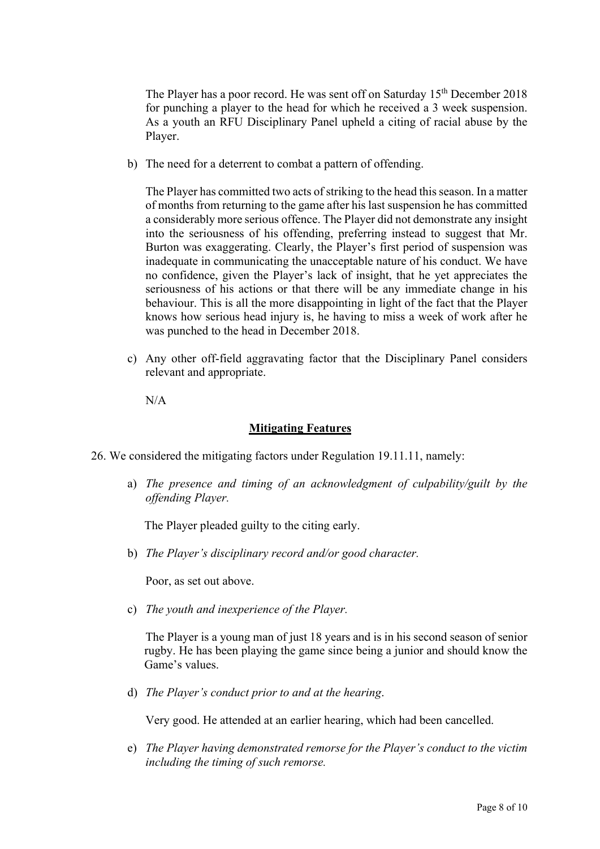The Player has a poor record. He was sent off on Saturday 15<sup>th</sup> December 2018 for punching a player to the head for which he received a 3 week suspension. As a youth an RFU Disciplinary Panel upheld a citing of racial abuse by the Player.

b) The need for a deterrent to combat a pattern of offending.

The Player has committed two acts of striking to the head this season. In a matter of months from returning to the game after his last suspension he has committed a considerably more serious offence. The Player did not demonstrate any insight into the seriousness of his offending, preferring instead to suggest that Mr. Burton was exaggerating. Clearly, the Player's first period of suspension was inadequate in communicating the unacceptable nature of his conduct. We have no confidence, given the Player's lack of insight, that he yet appreciates the seriousness of his actions or that there will be any immediate change in his behaviour. This is all the more disappointing in light of the fact that the Player knows how serious head injury is, he having to miss a week of work after he was punched to the head in December 2018.

c) Any other off-field aggravating factor that the Disciplinary Panel considers relevant and appropriate.

N/A

#### **Mitigating Features**

26. We considered the mitigating factors under Regulation 19.11.11, namely:

a) *The presence and timing of an acknowledgment of culpability/guilt by the offending Player.*

The Player pleaded guilty to the citing early.

b) *The Player's disciplinary record and/or good character.*

Poor, as set out above.

c) *The youth and inexperience of the Player.*

The Player is a young man of just 18 years and is in his second season of senior rugby. He has been playing the game since being a junior and should know the Game's values.

d) *The Player's conduct prior to and at the hearing*.

Very good. He attended at an earlier hearing, which had been cancelled.

e) *The Player having demonstrated remorse for the Player's conduct to the victim including the timing of such remorse.*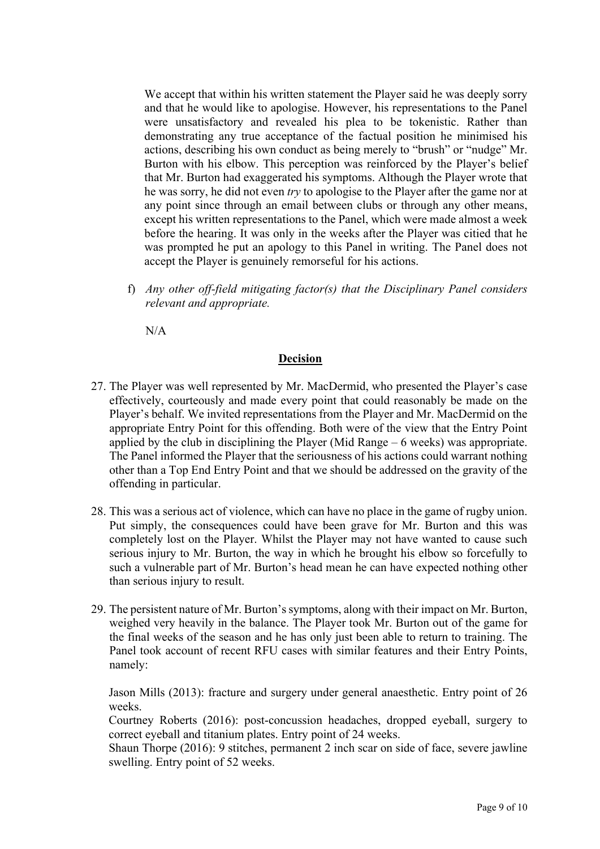We accept that within his written statement the Player said he was deeply sorry and that he would like to apologise. However, his representations to the Panel were unsatisfactory and revealed his plea to be tokenistic. Rather than demonstrating any true acceptance of the factual position he minimised his actions, describing his own conduct as being merely to "brush" or "nudge" Mr. Burton with his elbow. This perception was reinforced by the Player's belief that Mr. Burton had exaggerated his symptoms. Although the Player wrote that he was sorry, he did not even *try* to apologise to the Player after the game nor at any point since through an email between clubs or through any other means, except his written representations to the Panel, which were made almost a week before the hearing. It was only in the weeks after the Player was citied that he was prompted he put an apology to this Panel in writing. The Panel does not accept the Player is genuinely remorseful for his actions.

f) *Any other off-field mitigating factor(s) that the Disciplinary Panel considers relevant and appropriate.* 

N/A

#### **Decision**

- 27. The Player was well represented by Mr. MacDermid, who presented the Player's case effectively, courteously and made every point that could reasonably be made on the Player's behalf. We invited representations from the Player and Mr. MacDermid on the appropriate Entry Point for this offending. Both were of the view that the Entry Point applied by the club in disciplining the Player (Mid Range – 6 weeks) was appropriate. The Panel informed the Player that the seriousness of his actions could warrant nothing other than a Top End Entry Point and that we should be addressed on the gravity of the offending in particular.
- 28. This was a serious act of violence, which can have no place in the game of rugby union. Put simply, the consequences could have been grave for Mr. Burton and this was completely lost on the Player. Whilst the Player may not have wanted to cause such serious injury to Mr. Burton, the way in which he brought his elbow so forcefully to such a vulnerable part of Mr. Burton's head mean he can have expected nothing other than serious injury to result.
- 29. The persistent nature of Mr. Burton's symptoms, along with their impact on Mr. Burton, weighed very heavily in the balance. The Player took Mr. Burton out of the game for the final weeks of the season and he has only just been able to return to training. The Panel took account of recent RFU cases with similar features and their Entry Points, namely:

Jason Mills (2013): fracture and surgery under general anaesthetic. Entry point of 26 weeks.

Courtney Roberts (2016): post-concussion headaches, dropped eyeball, surgery to correct eyeball and titanium plates. Entry point of 24 weeks.

Shaun Thorpe (2016): 9 stitches, permanent 2 inch scar on side of face, severe jawline swelling. Entry point of 52 weeks.